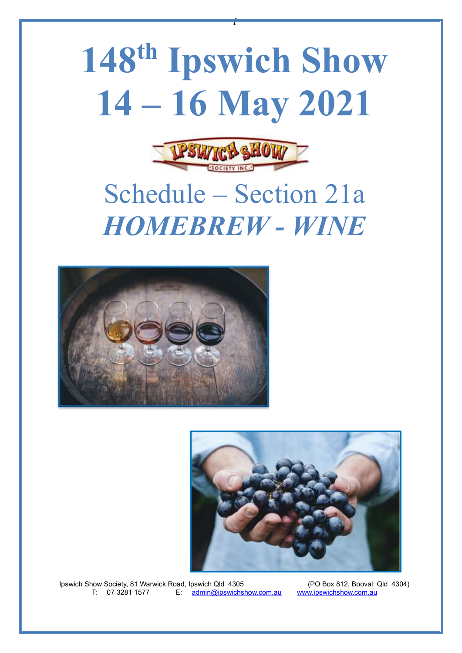## **148th Ipswich Show 14 – 16 May 2021**

f



## Schedule – Section 21a *HOMEBREW - WINE*





Ipswich Show Society, 81 Warwick Road, Ipswich Qld 4305 (PO Box 812, Booval Qld 4304)<br>T: 07 3281 1577 E: admin@ipswichshow.com.au www.ipswichshow.com.au  $E:$  [admin@ipswichshow.com.au](mailto:admin@ipswichshow.com.au)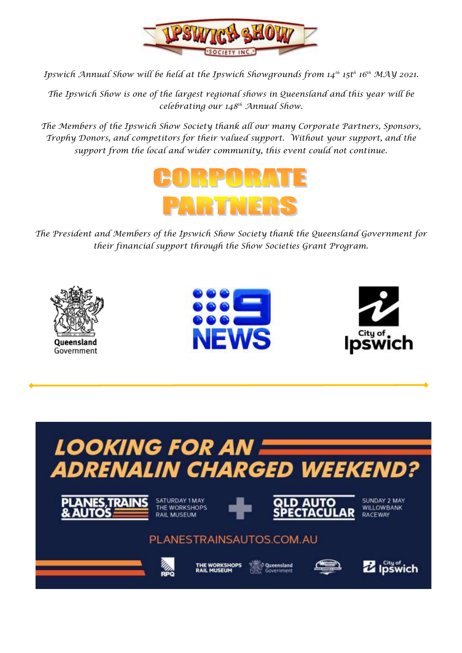

*Ipswich Annual Show will be held at the Ipswich Showgrounds from 14th 15t<sup>h</sup> 16th MAY 2021.*

*The Ipswich Show is one of the largest regional shows in Queensland and this year will be celebrating our 148th Annual Show.*

*The Members of the Ipswich Show Society thank all our many Corporate Partners, Sponsors, Trophy Donors, and competitors for their valued support. Without your support, and the support from the local and wider community, this event could not continue.*



*The President and Members of the Ipswich Show Society thank the Queensland Government for their financial support through the Show Societies Grant Program.*







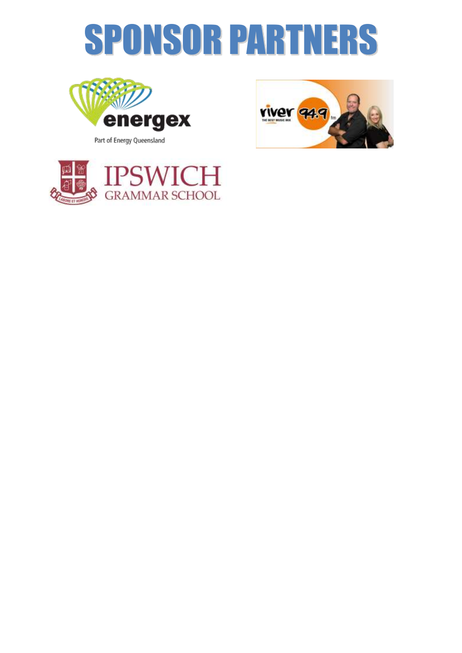# SPONSOR PARTNERS



Part of Energy Queensland



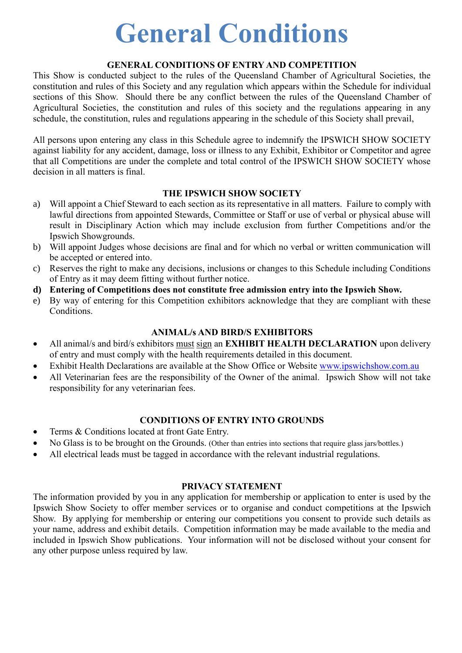### **General Conditions**

### **GENERAL CONDITIONS OF ENTRY AND COMPETITION**

This Show is conducted subject to the rules of the Queensland Chamber of Agricultural Societies, the constitution and rules of this Society and any regulation which appears within the Schedule for individual sections of this Show. Should there be any conflict between the rules of the Queensland Chamber of Agricultural Societies, the constitution and rules of this society and the regulations appearing in any schedule, the constitution, rules and regulations appearing in the schedule of this Society shall prevail,

All persons upon entering any class in this Schedule agree to indemnify the IPSWICH SHOW SOCIETY against liability for any accident, damage, loss or illness to any Exhibit, Exhibitor or Competitor and agree that all Competitions are under the complete and total control of the IPSWICH SHOW SOCIETY whose decision in all matters is final.

### **THE IPSWICH SHOW SOCIETY**

- a) Will appoint a Chief Steward to each section as its representative in all matters. Failure to comply with lawful directions from appointed Stewards, Committee or Staff or use of verbal or physical abuse will result in Disciplinary Action which may include exclusion from further Competitions and/or the Ipswich Showgrounds.
- b) Will appoint Judges whose decisions are final and for which no verbal or written communication will be accepted or entered into.
- c) Reserves the right to make any decisions, inclusions or changes to this Schedule including Conditions of Entry as it may deem fitting without further notice.
- **d) Entering of Competitions does not constitute free admission entry into the Ipswich Show.**
- e) By way of entering for this Competition exhibitors acknowledge that they are compliant with these Conditions.

### **ANIMAL/s AND BIRD/S EXHIBITORS**

- All animal/s and bird/s exhibitors must sign an **EXHIBIT HEALTH DECLARATION** upon delivery of entry and must comply with the health requirements detailed in this document.
- Exhibit Health Declarations are available at the Show Office or Website [www.ipswichshow.com.au](http://www.ipswichshow.com.au/)
- All Veterinarian fees are the responsibility of the Owner of the animal. Ipswich Show will not take responsibility for any veterinarian fees.

### **CONDITIONS OF ENTRY INTO GROUNDS**

- Terms & Conditions located at front Gate Entry.
- No Glass is to be brought on the Grounds. (Other than entries into sections that require glass jars/bottles.)
- All electrical leads must be tagged in accordance with the relevant industrial regulations.

### **PRIVACY STATEMENT**

The information provided by you in any application for membership or application to enter is used by the Ipswich Show Society to offer member services or to organise and conduct competitions at the Ipswich Show. By applying for membership or entering our competitions you consent to provide such details as your name, address and exhibit details. Competition information may be made available to the media and included in Ipswich Show publications. Your information will not be disclosed without your consent for any other purpose unless required by law.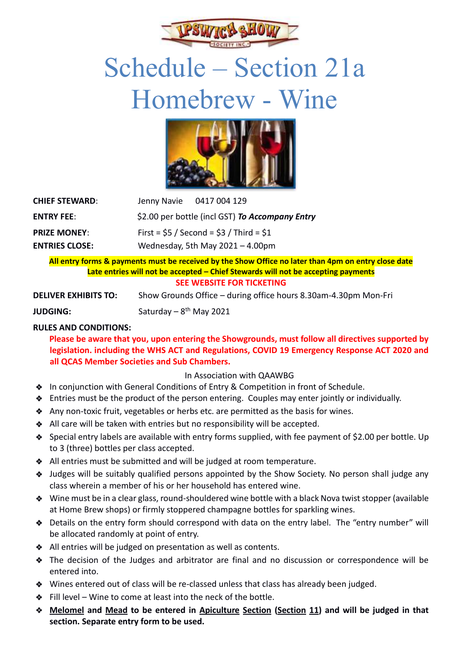

### Schedule – Section 21a Homebrew - Wine



| <b>CHIEF STEWARD:</b> | Jenny Navie 0417 004 129                        |
|-----------------------|-------------------------------------------------|
| <b>ENTRY FEE:</b>     | \$2.00 per bottle (incl GST) To Accompany Entry |
| <b>PRIZE MONEY:</b>   | First = $$5 /$ Second = $$3 /$ Third = $$1$     |
| <b>ENTRIES CLOSE:</b> | Wednesday, 5th May $2021 - 4.00$ pm             |

### **All entry forms & payments must be received by the Show Office no later than 4pm on entry close date Late entries will not be accepted – Chief Stewards will not be accepting payments SEE WEBSITE FOR TICKETING**

**DELIVER EXHIBITS TO:** Show Grounds Office – during office hours 8.30am-4.30pm Mon-Fri

**JUDGING:** Saturday – 8<sup>th</sup> May 2021

### **RULES AND CONDITIONS:**

 **Please be aware that you, upon entering the Showgrounds, must follow all directives supported by legislation. including the WHS ACT and Regulations, COVID 19 Emergency Response ACT 2020 and all QCAS Member Societies and Sub Chambers.** 

### In Association with QAAWBG

- ❖ In conjunction with General Conditions of Entry & Competition in front of Schedule.
- ❖ Entries must be the product of the person entering. Couples may enter jointly or individually.
- ❖ Any non-toxic fruit, vegetables or herbs etc. are permitted as the basis for wines.
- ❖ All care will be taken with entries but no responsibility will be accepted.
- ❖ Special entry labels are available with entry forms supplied, with fee payment of \$2.00 per bottle. Up to 3 (three) bottles per class accepted.
- ❖ All entries must be submitted and will be judged at room temperature.
- ❖ Judges will be suitably qualified persons appointed by the Show Society. No person shall judge any class wherein a member of his or her household has entered wine.
- ❖ Wine must be in a clear glass, round-shouldered wine bottle with a black Nova twist stopper (available at Home Brew shops) or firmly stoppered champagne bottles for sparkling wines.
- ❖ Details on the entry form should correspond with data on the entry label. The "entry number" will be allocated randomly at point of entry.
- ❖ All entries will be judged on presentation as well as contents.
- ❖ The decision of the Judges and arbitrator are final and no discussion or correspondence will be entered into.
- ❖ Wines entered out of class will be re-classed unless that class has already been judged.
- ❖ Fill level Wine to come at least into the neck of the bottle.
- ❖ **Melomel and Mead to be entered in Apiculture Section (Section 11) and will be judged in that section. Separate entry form to be used.**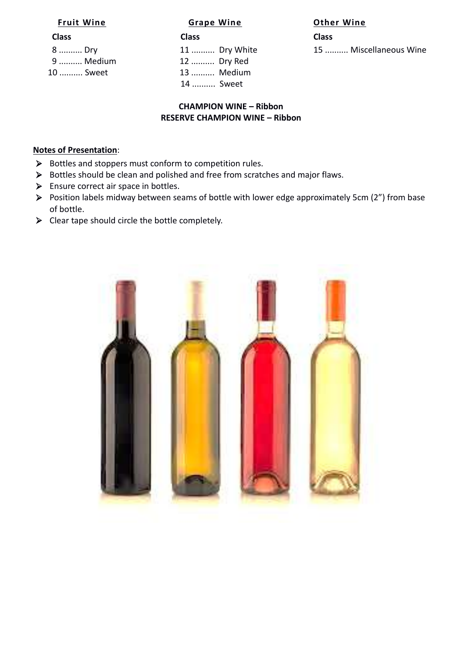**Class Class Class** 9 .......... Medium 12 .......... Dry Red 10 .......... Sweet 13 .......... Medium 14 .......... Sweet

#### **Fruit Wine Grape Wine Other Wine**

8 .......... Dry The Tag of Tag 11 .......... Dry White 15 .......... Miscellaneous Wine

### **CHAMPION WINE – Ribbon RESERVE CHAMPION WINE – Ribbon**

#### **Notes of Presentation**:

- ➢ Bottles and stoppers must conform to competition rules.
- ➢ Bottles should be clean and polished and free from scratches and major flaws.
- ➢ Ensure correct air space in bottles.
- ➢ Position labels midway between seams of bottle with lower edge approximately 5cm (2") from base of bottle.
- $\triangleright$  Clear tape should circle the bottle completely.